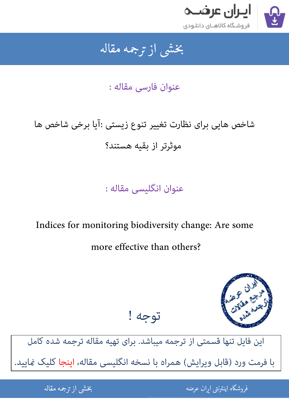

#### بخشى از ترجمه مقاله شی از تر بخشی از :

عنوان فارسی مقاله :

# شاخص هایی برای نظارت تغییر تنوع زیستی : آیا برخی شاخص ها موثرتر از بقیه هستند؟

## عنوان انگلیسی مقاله :

### Indices for monitoring biodiversity change: Are some

more effective than others?



## [این فایل تنها قسمتی از ترجمه میباشد. برای تهیه مقاله ترجمه شده کامل](http://iranarze.ir/indices+monitoring+biodiversity+effective+others)  با فرمت ورد (قابل ویرایش) همراه با نسخه انگلیسی مقاله، اینجا کلیک Qایید.

توجه !

.<br>ه المواقع المواقع المواقع المواقع المواقع المواقع المواقع المواقع المواقع المواقع المواقع المواقع المواقع المو ֦֧֧֚֚֚֚֚֚֚֚֚֚֚֚֚֚֚֚֚֚֚֚֚֬֡֡֡֡֡֡֡֡֡֡֬֓֡֬֝֝֓֡ فروشگاه اینترنتی ایر

ان عرضه مقاله از ترجمه مقاله استخدام استخدام العامل العامل العامل العامل العامل العامل العامل العامل العامل ال